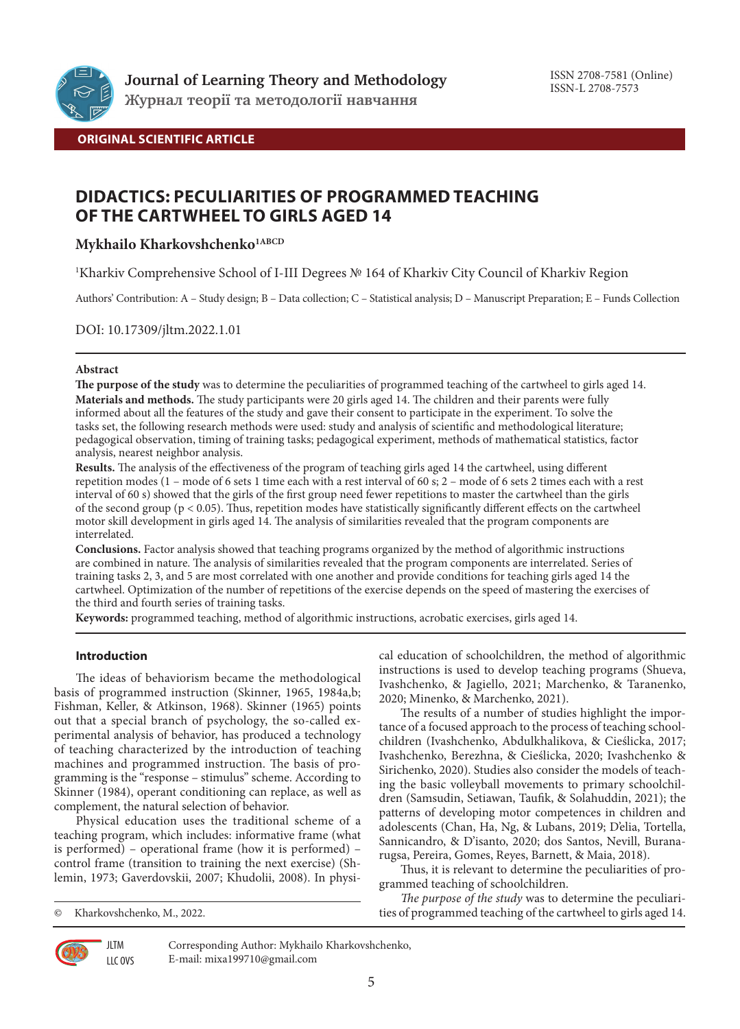

## **ORIGINAL SCIENTIFIC ARTICLE**

## **DIDACTICS: PECULIARITIES OF PROGRAMMED TEACHING OF THE CARTWHEEL TO GIRLS AGED 14**

## **Mykhailo Kharkovshchenko1ABCD**

1 Kharkiv Comprehensive School of I-III Degrees № 164 of Kharkiv City Council of Kharkiv Region

Authors' Contribution: A – Study design; B – Data collection; C – Statistical analysis; D – Manuscript Preparation; E – Funds Collection

DOI: 10.17309/jltm.2022.1.01

### **Abstract**

**The purpose of the study** was to determine the peculiarities of programmed teaching of the cartwheel to girls aged 14. **Materials and methods.** The study participants were 20 girls aged 14. The children and their parents were fully informed about all the features of the study and gave their consent to participate in the experiment. To solve the tasks set, the following research methods were used: study and analysis of scientific and methodological literature; pedagogical observation, timing of training tasks; pedagogical experiment, methods of mathematical statistics, factor analysis, nearest neighbor analysis.

**Results.** The analysis of the effectiveness of the program of teaching girls aged 14 the cartwheel, using different repetition modes (1 – mode of 6 sets 1 time each with a rest interval of 60 s; 2 – mode of 6 sets 2 times each with a rest interval of 60 s) showed that the girls of the first group need fewer repetitions to master the cartwheel than the girls of the second group ( $p < 0.05$ ). Thus, repetition modes have statistically significantly different effects on the cartwheel motor skill development in girls aged 14. The analysis of similarities revealed that the program components are interrelated.

**Conclusions.** Factor analysis showed that teaching programs organized by the method of algorithmic instructions are combined in nature. The analysis of similarities revealed that the program components are interrelated. Series of training tasks 2, 3, and 5 are most correlated with one another and provide conditions for teaching girls aged 14 the cartwheel. Optimization of the number of repetitions of the exercise depends on the speed of mastering the exercises of the third and fourth series of training tasks.

**Keywords:** programmed teaching, method of algorithmic instructions, acrobatic exercises, girls aged 14.

## **Introduction**

The ideas of behaviorism became the methodological basis of programmed instruction (Skinner, 1965, 1984a,b; Fishman, Keller, & Atkinson, 1968). Skinner (1965) points out that a special branch of psychology, the so-called experimental analysis of behavior, has produced a technology of teaching characterized by the introduction of teaching machines and programmed instruction. The basis of programming is the "response – stimulus" scheme. According to Skinner (1984), operant conditioning can replace, as well as complement, the natural selection of behavior.

Physical education uses the traditional scheme of a teaching program, which includes: informative frame (what is performed) – operational frame (how it is performed) – control frame (transition to training the next exercise) (Shlemin, 1973; Gaverdovskii, 2007; Khudolii, 2008). In physi-

**JLTM** LLC OVS cal education of schoolchildren, the method of algorithmic instructions is used to develop teaching programs (Shueva, Ivashchenko, & Jagiello, 2021; Marchenko, & Taranenko, 2020; Minenko, & Marchenko, 2021).

The results of a number of studies highlight the importance of a focused approach to the process of teaching schoolchildren (Ivashchenko, Abdulkhalikova, & Cieślicka, 2017; Ivashchenko, Berezhna, & Cieślicka, 2020; Ivashchenko & Sirichenko, 2020). Studies also consider the models of teaching the basic volleyball movements to primary schoolchildren (Samsudin, Setiawan, Taufik, & Solahuddin, 2021); the patterns of developing motor competences in children and adolescents (Chan, Ha, Ng, & Lubans, 2019; D'elia, Tortella, Sannicandro, & D'isanto, 2020; dos Santos, Nevill, Buranarugsa, Pereira, Gomes, Reyes, Barnett, & Maia, 2018).

Thus, it is relevant to determine the peculiarities of programmed teaching of schoolchildren.

*The purpose of the study* was to determine the peculiarities of programmed teaching of the cartwheel to girls aged 14.



Corresponding Author: Mykhailo Kharkovshchenko, E-mail: mixa199710@gmail.com

<sup>©</sup> Kharkovshchenko, M., 2022.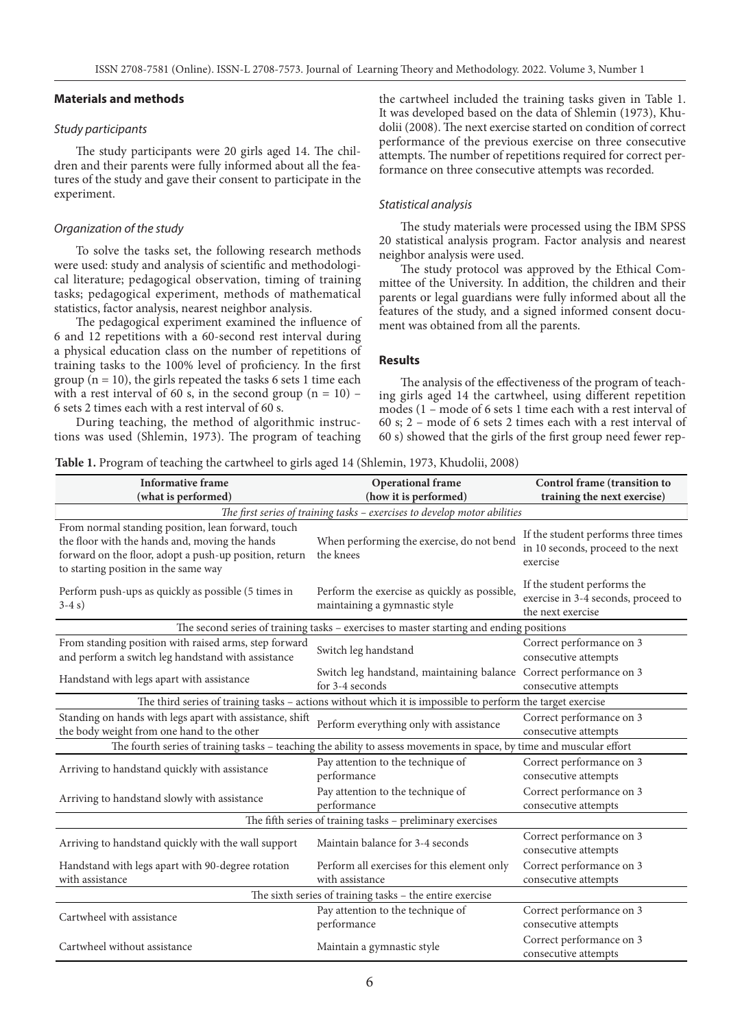#### **Materials and methods**

#### *Study participants*

The study participants were 20 girls aged 14. The children and their parents were fully informed about all the features of the study and gave their consent to participate in the experiment.

#### *Organization of the study*

To solve the tasks set, the following research methods were used: study and analysis of scientific and methodological literature; pedagogical observation, timing of training tasks; pedagogical experiment, methods of mathematical statistics, factor analysis, nearest neighbor analysis.

The pedagogical experiment examined the influence of 6 and 12 repetitions with a 60-second rest interval during a physical education class on the number of repetitions of training tasks to the 100% level of proficiency. In the first group  $(n = 10)$ , the girls repeated the tasks 6 sets 1 time each with a rest interval of 60 s, in the second group  $(n = 10)$  – 6 sets 2 times each with a rest interval of 60 s.

During teaching, the method of algorithmic instructions was used (Shlemin, 1973). The program of teaching the cartwheel included the training tasks given in Table 1. It was developed based on the data of Shlemin (1973), Khudolii (2008). The next exercise started on condition of correct performance of the previous exercise on three consecutive attempts. The number of repetitions required for correct performance on three consecutive attempts was recorded.

#### *Statistical analysis*

The study materials were processed using the IBM SPSS 20 statistical analysis program. Factor analysis and nearest neighbor analysis were used.

The study protocol was approved by the Ethical Committee of the University. In addition, the children and their parents or legal guardians were fully informed about all the features of the study, and a signed informed consent document was obtained from all the parents.

### **Results**

The analysis of the effectiveness of the program of teaching girls aged 14 the cartwheel, using different repetition modes (1 – mode of 6 sets 1 time each with a rest interval of 60 s; 2 – mode of 6 sets 2 times each with a rest interval of 60 s) showed that the girls of the first group need fewer rep-

| Table 1. Program of teaching the cartwheel to girls aged 14 (Shlemin, 1973, Khudolii, 2008) |  |  |  |
|---------------------------------------------------------------------------------------------|--|--|--|
|---------------------------------------------------------------------------------------------|--|--|--|

| <b>Informative frame</b>                                                                                                                                                                               | <b>Operational frame</b>                                                                                             | Control frame (transition to                                                            |
|--------------------------------------------------------------------------------------------------------------------------------------------------------------------------------------------------------|----------------------------------------------------------------------------------------------------------------------|-----------------------------------------------------------------------------------------|
| (what is performed)                                                                                                                                                                                    | (how it is performed)                                                                                                | training the next exercise)                                                             |
|                                                                                                                                                                                                        | The first series of training tasks - exercises to develop motor abilities                                            |                                                                                         |
| From normal standing position, lean forward, touch<br>the floor with the hands and, moving the hands<br>forward on the floor, adopt a push-up position, return<br>to starting position in the same way | When performing the exercise, do not bend<br>the knees                                                               | If the student performs three times<br>in 10 seconds, proceed to the next<br>exercise   |
| Perform push-ups as quickly as possible (5 times in<br>$3-4s$                                                                                                                                          | Perform the exercise as quickly as possible,<br>maintaining a gymnastic style                                        | If the student performs the<br>exercise in 3-4 seconds, proceed to<br>the next exercise |
|                                                                                                                                                                                                        | The second series of training tasks - exercises to master starting and ending positions                              |                                                                                         |
| From standing position with raised arms, step forward<br>and perform a switch leg handstand with assistance                                                                                            | Switch leg handstand                                                                                                 | Correct performance on 3<br>consecutive attempts                                        |
| Handstand with legs apart with assistance                                                                                                                                                              | Switch leg handstand, maintaining balance Correct performance on 3<br>for 3-4 seconds                                | consecutive attempts                                                                    |
|                                                                                                                                                                                                        | The third series of training tasks - actions without which it is impossible to perform the target exercise           |                                                                                         |
| Standing on hands with legs apart with assistance, shift<br>the body weight from one hand to the other                                                                                                 | Perform everything only with assistance                                                                              | Correct performance on 3<br>consecutive attempts                                        |
|                                                                                                                                                                                                        | The fourth series of training tasks - teaching the ability to assess movements in space, by time and muscular effort |                                                                                         |
| Arriving to handstand quickly with assistance                                                                                                                                                          | Pay attention to the technique of<br>performance                                                                     | Correct performance on 3<br>consecutive attempts                                        |
| Arriving to handstand slowly with assistance                                                                                                                                                           | Pay attention to the technique of<br>performance                                                                     | Correct performance on 3<br>consecutive attempts                                        |
|                                                                                                                                                                                                        | The fifth series of training tasks - preliminary exercises                                                           |                                                                                         |
| Arriving to handstand quickly with the wall support                                                                                                                                                    | Maintain balance for 3-4 seconds                                                                                     | Correct performance on 3<br>consecutive attempts                                        |
| Handstand with legs apart with 90-degree rotation<br>with assistance                                                                                                                                   | Perform all exercises for this element only<br>with assistance                                                       | Correct performance on 3<br>consecutive attempts                                        |
|                                                                                                                                                                                                        | The sixth series of training tasks - the entire exercise                                                             |                                                                                         |
| Cartwheel with assistance                                                                                                                                                                              | Pay attention to the technique of<br>performance                                                                     | Correct performance on 3<br>consecutive attempts                                        |
| Cartwheel without assistance                                                                                                                                                                           | Maintain a gymnastic style                                                                                           | Correct performance on 3<br>consecutive attempts                                        |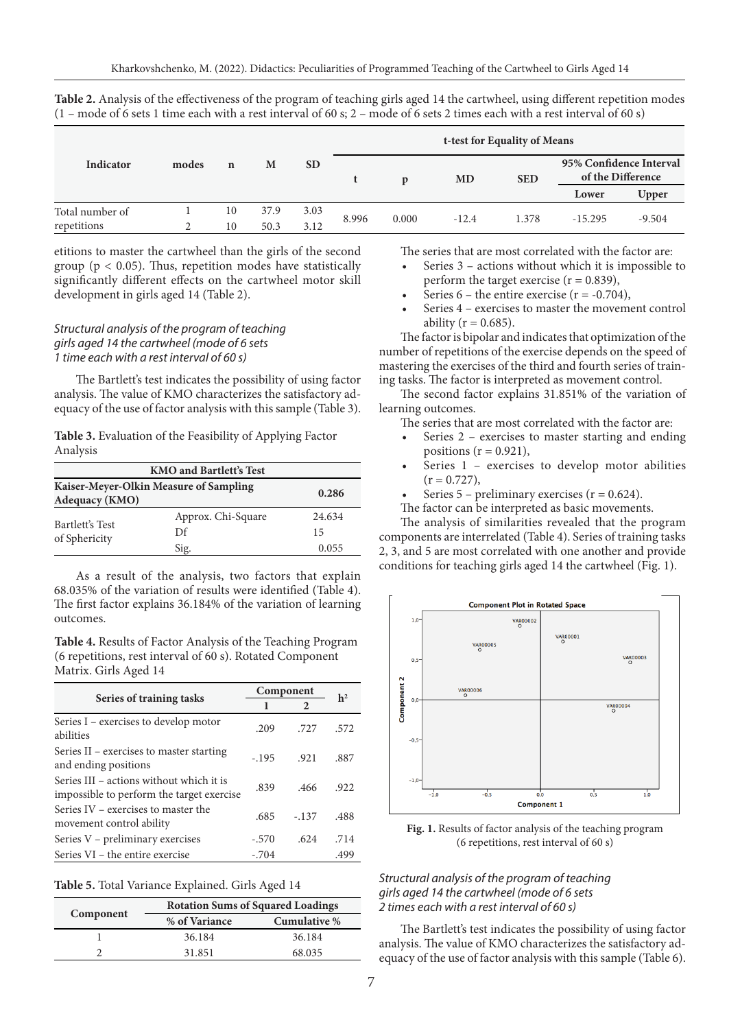|                 |       |             |      |           | t-test for Equality of Means |              |           |            |                         |                   |
|-----------------|-------|-------------|------|-----------|------------------------------|--------------|-----------|------------|-------------------------|-------------------|
| Indicator       | modes | $\mathbf n$ | M    | <b>SD</b> |                              | $\mathbf{D}$ | <b>MD</b> | <b>SED</b> | 95% Confidence Interval | of the Difference |
|                 |       |             |      |           |                              |              |           |            | Lower                   | Upper             |
| Total number of |       | 10          | 37.9 | 3.03      | 8.996                        | 0.000        | $-12.4$   | 1.378      | $-15.295$               | $-9.504$          |
| repetitions     |       | 10          | 50.3 | 3.12      |                              |              |           |            |                         |                   |

**Table 2.** Analysis of the effectiveness of the program of teaching girls aged 14 the cartwheel, using different repetition modes  $(1 - mode of 6 sets 1 time each with a rest interval of 60 s; 2 - mode of 6 sets 2 times each with a rest interval of 60 s)$ 

etitions to master the cartwheel than the girls of the second group ( $p < 0.05$ ). Thus, repetition modes have statistically significantly different effects on the cartwheel motor skill development in girls aged 14 (Table 2).

## *Structural analysis of the program of teaching girls aged 14 the cartwheel (mode of 6 sets 1 time each with a rest interval of 60 s)*

The Bartlett's test indicates the possibility of using factor analysis. The value of KMO characterizes the satisfactory adequacy of the use of factor analysis with this sample (Table 3).

**Table 3.** Evaluation of the Feasibility of Applying Factor Analysis

| <b>KMO and Bartlett's Test</b>                                           |                    |        |  |  |
|--------------------------------------------------------------------------|--------------------|--------|--|--|
| Kaiser-Meyer-Olkin Measure of Sampling<br>0.286<br><b>Adequacy (KMO)</b> |                    |        |  |  |
| Bartlett's Test<br>of Sphericity                                         | Approx. Chi-Square | 24.634 |  |  |
|                                                                          | Df                 | 15     |  |  |
|                                                                          | Sig.               | 0.055  |  |  |

As a result of the analysis, two factors that explain 68.035% of the variation of results were identified (Table 4). The first factor explains 36.184% of the variation of learning outcomes.

**Table 4.** Results of Factor Analysis of the Teaching Program (6 repetitions, rest interval of 60 s). Rotated Component Matrix. Girls Aged 14

|                                                                                       | Component | h <sup>2</sup> |      |
|---------------------------------------------------------------------------------------|-----------|----------------|------|
| Series of training tasks                                                              |           | 2              |      |
| Series I - exercises to develop motor<br>abilities                                    | .209      | .727           | .572 |
| Series II – exercises to master starting<br>and ending positions                      | $-195$    | .921           | .887 |
| Series III – actions without which it is<br>impossible to perform the target exercise | .839      | .466           | .922 |
| Series IV – exercises to master the<br>movement control ability                       | .685      | $-137$         | .488 |
| Series V - preliminary exercises                                                      | $-.570$   | .624           | .714 |
| Series VI – the entire exercise                                                       | $-.704$   |                | .499 |

**Table 5.** Total Variance Explained. Girls Aged 14

|           | <b>Rotation Sums of Squared Loadings</b> |              |  |  |  |
|-----------|------------------------------------------|--------------|--|--|--|
| Component | % of Variance                            | Cumulative % |  |  |  |
|           | 36.184                                   | 36.184       |  |  |  |
|           | 31.851                                   | 68.035       |  |  |  |

The series that are most correlated with the factor are:

- Series 3 actions without which it is impossible to perform the target exercise  $(r = 0.839)$ ,
- Series  $6$  the entire exercise ( $r = -0.704$ ),
- Series 4 exercises to master the movement control ability ( $r = 0.685$ ).

The factor is bipolar and indicates that optimization of the number of repetitions of the exercise depends on the speed of mastering the exercises of the third and fourth series of training tasks. The factor is interpreted as movement control.

The second factor explains 31.851% of the variation of learning outcomes.

The series that are most correlated with the factor are:

- Series 2 exercises to master starting and ending positions  $(r = 0.921)$ ,
- Series 1 exercises to develop motor abilities  $(r = 0.727),$
- Series  $5$  preliminary exercises ( $r = 0.624$ ).
- The factor can be interpreted as basic movements.

The analysis of similarities revealed that the program components are interrelated (Table 4). Series of training tasks 2, 3, and 5 are most correlated with one another and provide conditions for teaching girls aged 14 the cartwheel (Fig. 1).



**Fig. 1.** Results of factor analysis of the teaching program (6 repetitions, rest interval of 60 s)

### *Structural analysis of the program of teaching girls aged 14 the cartwheel (mode of 6 sets 2 times each with a rest interval of 60 s)*

The Bartlett's test indicates the possibility of using factor analysis. The value of KMO characterizes the satisfactory adequacy of the use of factor analysis with this sample (Table 6).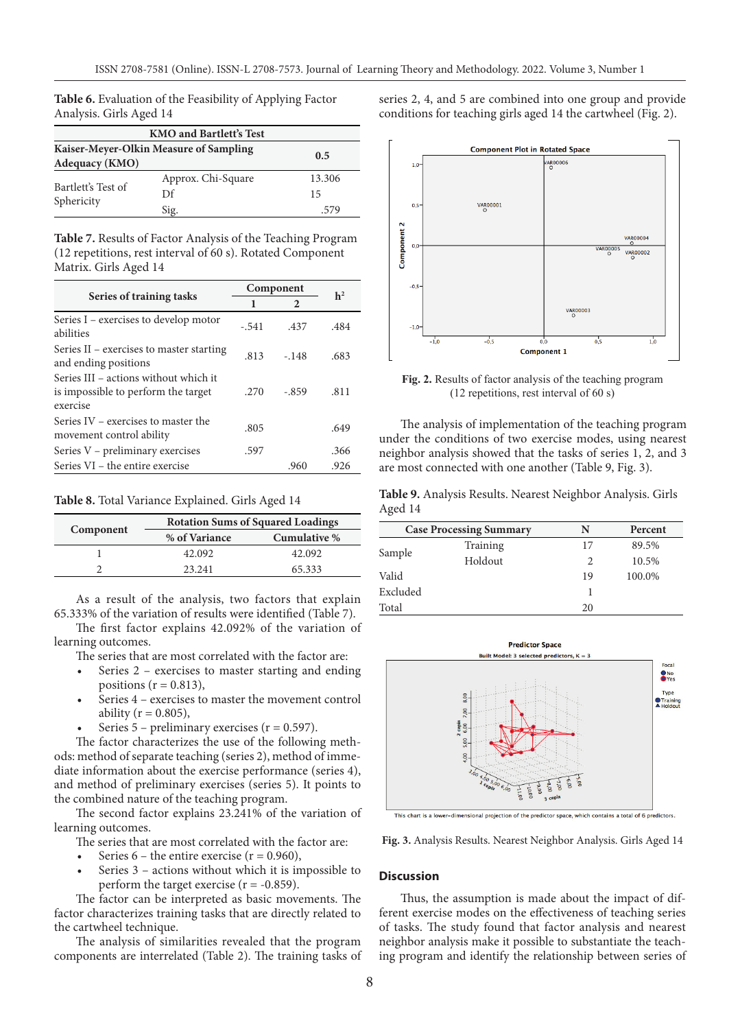**Table 6.** Evaluation of the Feasibility of Applying Factor Analysis. Girls Aged 14

| <b>KMO and Bartlett's Test</b>                                         |                    |        |  |  |
|------------------------------------------------------------------------|--------------------|--------|--|--|
| Kaiser-Meyer-Olkin Measure of Sampling<br>0.5<br><b>Adequacy (KMO)</b> |                    |        |  |  |
|                                                                        | Approx. Chi-Square | 13.306 |  |  |
| Bartlett's Test of<br>Sphericity                                       | Df                 | 15     |  |  |
|                                                                        | Sig.               | .579   |  |  |

**Table 7.** Results of Factor Analysis of the Teaching Program (12 repetitions, rest interval of 60 s). Rotated Component Matrix. Girls Aged 14

|                                                                                          | Component | h <sup>2</sup> |      |
|------------------------------------------------------------------------------------------|-----------|----------------|------|
| Series of training tasks                                                                 | 1         | 2              |      |
| Series I - exercises to develop motor<br>abilities                                       | $-.541$   | .437           | .484 |
| Series II – exercises to master starting<br>and ending positions                         | .813      | $-.148$        | .683 |
| Series III – actions without which it<br>is impossible to perform the target<br>exercise | .270      | -.859          | .811 |
| Series IV – exercises to master the<br>movement control ability                          | .805      |                | .649 |
| Series V - preliminary exercises                                                         | .597      |                | .366 |
| Series VI – the entire exercise                                                          |           | .960           | .926 |

**Table 8.** Total Variance Explained. Girls Aged 14

|           | <b>Rotation Sums of Squared Loadings</b> |              |  |  |  |
|-----------|------------------------------------------|--------------|--|--|--|
| Component | % of Variance                            | Cumulative % |  |  |  |
|           | 42.092                                   | 42.092       |  |  |  |
|           | 23 241                                   | 65.333       |  |  |  |

As a result of the analysis, two factors that explain 65.333% of the variation of results were identified (Table 7).

The first factor explains 42.092% of the variation of learning outcomes.

The series that are most correlated with the factor are:

- Series 2 exercises to master starting and ending positions ( $r = 0.813$ ),
- Series 4 exercises to master the movement control ability ( $r = 0.805$ ),
- Series  $5$  preliminary exercises ( $r = 0.597$ ).

The factor characterizes the use of the following methods: method of separate teaching (series 2), method of immediate information about the exercise performance (series 4), and method of preliminary exercises (series 5). It points to the combined nature of the teaching program.

The second factor explains 23.241% of the variation of learning outcomes.

The series that are most correlated with the factor are:

- Series  $6$  the entire exercise ( $r = 0.960$ ),
- Series 3 actions without which it is impossible to perform the target exercise  $(r = -0.859)$ .

The factor can be interpreted as basic movements. The factor characterizes training tasks that are directly related to the cartwheel technique.

The analysis of similarities revealed that the program components are interrelated (Table 2). The training tasks of series 2, 4, and 5 are combined into one group and provide conditions for teaching girls aged 14 the cartwheel (Fig. 2).



**Fig. 2.** Results of factor analysis of the teaching program (12 repetitions, rest interval of 60 s)

The analysis of implementation of the teaching program under the conditions of two exercise modes, using nearest neighbor analysis showed that the tasks of series 1, 2, and 3 are most connected with one another (Table 9, Fig. 3).

**Table 9.** Analysis Results. Nearest Neighbor Analysis. Girls Aged 14

|          | <b>Case Processing Summary</b> | N  | Percent |
|----------|--------------------------------|----|---------|
| Sample   | Training                       | 17 | 89.5%   |
|          | Holdout                        | 2  | 10.5%   |
| Valid    |                                | 19 | 100.0%  |
| Excluded |                                |    |         |
| Total    |                                | 20 |         |



This chart is a lower-dimensional projection of the predictor space, which contains a total of 6 predictors.

**Fig. 3.** Analysis Results. Nearest Neighbor Analysis. Girls Aged 14

### **Discussion**

Thus, the assumption is made about the impact of different exercise modes on the effectiveness of teaching series of tasks. The study found that factor analysis and nearest neighbor analysis make it possible to substantiate the teaching program and identify the relationship between series of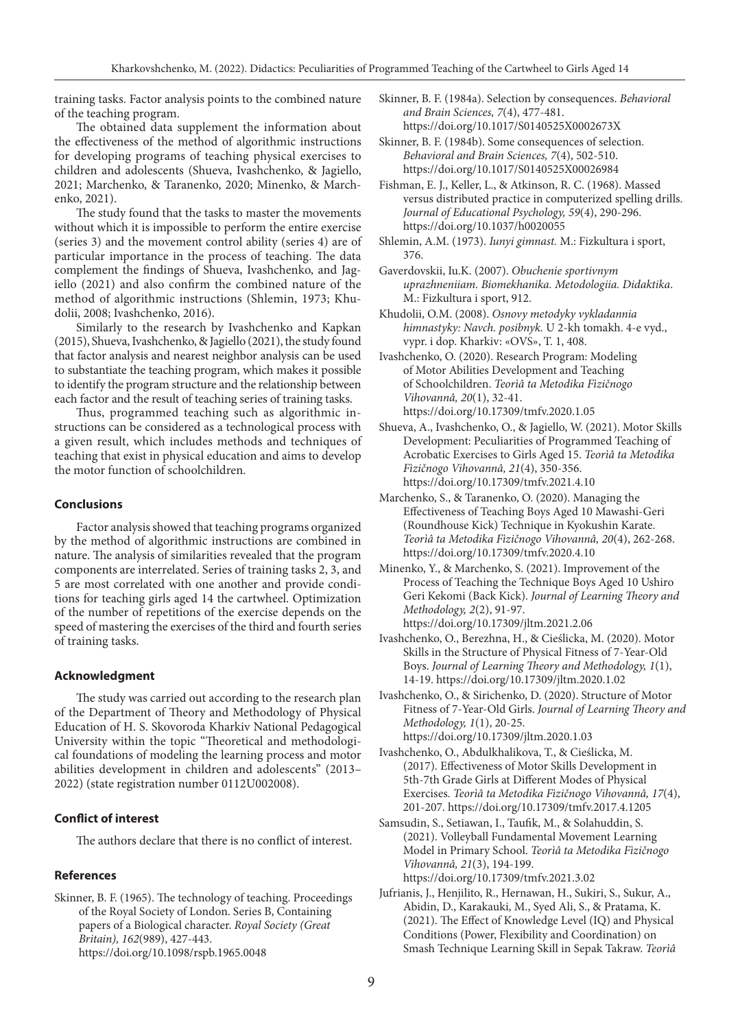training tasks. Factor analysis points to the combined nature of the teaching program.

The obtained data supplement the information about the effectiveness of the method of algorithmic instructions for developing programs of teaching physical exercises to children and adolescents (Shueva, Ivashchenko, & Jagiello, 2021; Marchenko, & Taranenko, 2020; Minenko, & Marchenko, 2021).

The study found that the tasks to master the movements without which it is impossible to perform the entire exercise (series 3) and the movement control ability (series 4) are of particular importance in the process of teaching. The data complement the findings of Shueva, Ivashchenko, and Jagiello (2021) and also confirm the combined nature of the method of algorithmic instructions (Shlemin, 1973; Khudolii, 2008; Ivashchenko, 2016).

Similarly to the research by Ivashchenko and Kapkan (2015), Shueva, Ivashchenko, & Jagiello (2021), the study found that factor analysis and nearest neighbor analysis can be used to substantiate the teaching program, which makes it possible to identify the program structure and the relationship between each factor and the result of teaching series of training tasks.

Thus, programmed teaching such as algorithmic instructions can be considered as a technological process with a given result, which includes methods and techniques of teaching that exist in physical education and aims to develop the motor function of schoolchildren.

## **Conclusions**

Factor analysis showed that teaching programs organized by the method of algorithmic instructions are combined in nature. The analysis of similarities revealed that the program components are interrelated. Series of training tasks 2, 3, and 5 are most correlated with one another and provide conditions for teaching girls aged 14 the cartwheel. Optimization of the number of repetitions of the exercise depends on the speed of mastering the exercises of the third and fourth series of training tasks.

#### **Acknowledgment**

The study was carried out according to the research plan of the Department of Theory and Methodology of Physical Education of H. S. Skovoroda Kharkiv National Pedagogical University within the topic "Theoretical and methodological foundations of modeling the learning process and motor abilities development in children and adolescents" (2013– 2022) (state registration number 0112U002008).

#### **Conflict of interest**

The authors declare that there is no conflict of interest.

### **References**

Skinner, B. F. (1965). The technology of teaching. Proceedings of the Royal Society of London. Series B, Containing papers of a Biological character. *Royal Society (Great Britain), 162*(989), 427-443. https://doi.org/10.1098/rspb.1965.0048

- Skinner, B. F. (1984a). Selection by consequences. *Behavioral and Brain Sciences, 7*(4), 477-481. https://doi.org/10.1017/S0140525X0002673X
- Skinner, B. F. (1984b). Some consequences of selection. *Behavioral and Brain Sciences, 7*(4), 502-510. https://doi.org/10.1017/S0140525X00026984
- Fishman, E. J., Keller, L., & Atkinson, R. C. (1968). Massed versus distributed practice in computerized spelling drills. *Journal of Educational Psychology, 59*(4), 290-296. https://doi.org/10.1037/h0020055
- Shlemin, A.M. (1973). *Iunyi gimnast.* M.: Fizkultura i sport, 376.

Gaverdovskii, Iu.K. (2007). *Obuchenie sportivnym uprazhneniiam. Biomekhanika. Metodologiia. Didaktika*. M.: Fizkultura i sport, 912.

- Khudolii, O.M. (2008). *Osnovy metodyky vykladannia himnastyky: Navch. posibnyk.* U 2-kh tomakh. 4-e vyd., vypr. i dop. Kharkiv: «OVS», T. 1, 408.
- Ivashchenko, O. (2020). Research Program: Modeling of Motor Abilities Development and Teaching of Schoolchildren. *Teorìâ ta Metodika Fìzičnogo Vihovannâ, 20*(1), 32-41. https://doi.org/10.17309/tmfv.2020.1.05
- Shueva, A., Ivashchenko, O., & Jagiello, W. (2021). Motor Skills Development: Peculiarities of Programmed Teaching of Acrobatic Exercises to Girls Aged 15. *Teorìâ ta Metodika Fìzičnogo Vihovannâ, 21*(4), 350-356. https://doi.org/10.17309/tmfv.2021.4.10
- Marchenko, S., & Taranenko, O. (2020). Managing the Effectiveness of Teaching Boys Aged 10 Mawashi-Geri (Roundhouse Kick) Technique in Kyokushin Karate. *Teorìâ ta Metodika Fìzičnogo Vihovannâ, 20*(4), 262-268. https://doi.org/10.17309/tmfv.2020.4.10
- Minenko, Y., & Marchenko, S. (2021). Improvement of the Process of Teaching the Technique Boys Aged 10 Ushiro Geri Kekomi (Back Kick). *Journal of Learning Theory and Methodology, 2*(2), 91-97. https://doi.org/10.17309/jltm.2021.2.06
- Ivashchenko, O., Berezhna, H., & Cieślicka, M. (2020). Motor Skills in the Structure of Physical Fitness of 7-Year-Old Boys. *Journal of Learning Theory and Methodology, 1*(1), 14-19. https://doi.org/10.17309/jltm.2020.1.02
- Ivashchenko, O., & Sirichenko, D. (2020). Structure of Motor Fitness of 7-Year-Old Girls. *Journal of Learning Theory and Methodology, 1*(1), 20-25. https://doi.org/10.17309/jltm.2020.1.03

Ivashchenko, O., Abdulkhalikova, T., & Cieślicka, M. (2017). Effectiveness of Motor Skills Development in 5th-7th Grade Girls at Different Modes of Physical Exercises. *Teorìâ ta Metodika Fìzičnogo Vihovannâ, 17*(4), 201-207. https://doi.org/10.17309/tmfv.2017.4.1205

- Samsudin, S., Setiawan, I., Taufik, M., & Solahuddin, S. (2021). Volleyball Fundamental Movement Learning Model in Primary School. *Teorìâ ta Metodika Fìzičnogo Vihovannâ, 21*(3), 194-199. https://doi.org/10.17309/tmfv.2021.3.02
- Jufrianis, J., Henjilito, R., Hernawan, H., Sukiri, S., Sukur, A., Abidin, D., Karakauki, M., Syed Ali, S., & Pratama, K. (2021). The Effect of Knowledge Level (IQ) and Physical Conditions (Power, Flexibility and Coordination) on Smash Technique Learning Skill in Sepak Takraw. *Teorìâ*